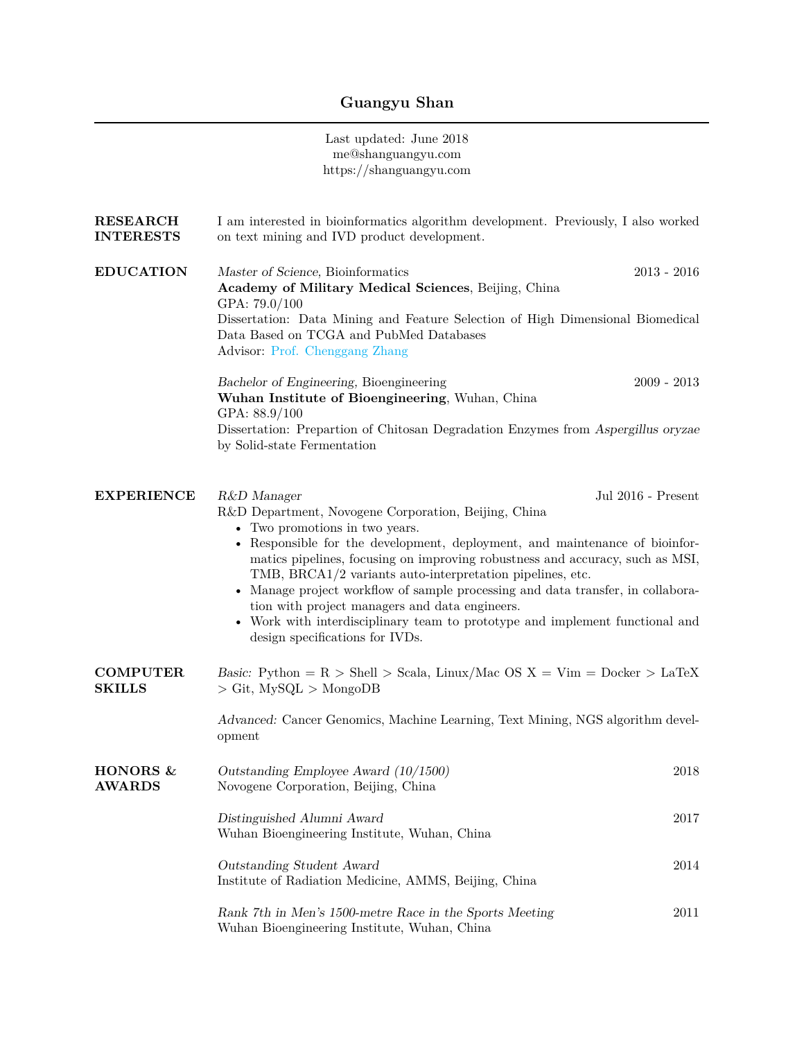## **Guangyu Shan**

Last updated: June 2018 me@shanguangyu.com https://shanguangyu.com

| <b>RESEARCH</b><br><b>INTERESTS</b> | I am interested in bioinformatics algorithm development. Previously, I also worked<br>on text mining and IVD product development.                                                                                                                                                                                                                                                                                                                                                                                                                                                                              |      |
|-------------------------------------|----------------------------------------------------------------------------------------------------------------------------------------------------------------------------------------------------------------------------------------------------------------------------------------------------------------------------------------------------------------------------------------------------------------------------------------------------------------------------------------------------------------------------------------------------------------------------------------------------------------|------|
| <b>EDUCATION</b>                    | $2013 - 2016$<br>Master of Science, Bioinformatics<br>Academy of Military Medical Sciences, Beijing, China<br>GPA: 79.0/100<br>Dissertation: Data Mining and Feature Selection of High Dimensional Biomedical<br>Data Based on TCGA and PubMed Databases<br>Advisor: Prof. Chenggang Zhang                                                                                                                                                                                                                                                                                                                     |      |
|                                     | $2009 - 2013$<br>Bachelor of Engineering, Bioengineering<br>Wuhan Institute of Bioengineering, Wuhan, China<br>GPA: 88.9/100<br>Dissertation: Prepartion of Chitosan Degradation Enzymes from Aspergillus oryzae<br>by Solid-state Fermentation                                                                                                                                                                                                                                                                                                                                                                |      |
| <b>EXPERIENCE</b>                   | Jul 2016 - Present<br>R&D Manager<br>R&D Department, Novogene Corporation, Beijing, China<br>• Two promotions in two years.<br>• Responsible for the development, deployment, and maintenance of bioinfor-<br>matics pipelines, focusing on improving robustness and accuracy, such as MSI,<br>TMB, BRCA1/2 variants auto-interpretation pipelines, etc.<br>Manage project workflow of sample processing and data transfer, in collabora-<br>tion with project managers and data engineers.<br>• Work with interdisciplinary team to prototype and implement functional and<br>design specifications for IVDs. |      |
| <b>COMPUTER</b><br><b>SKILLS</b>    | Basic: Python = $R >$ Shell > Scala, Linux/Mac OS X = Vim = Docker > LaTeX<br>$>$ Git, MySQL $>$ MongoDB<br>Advanced: Cancer Genomics, Machine Learning, Text Mining, NGS algorithm devel-                                                                                                                                                                                                                                                                                                                                                                                                                     |      |
|                                     | opment                                                                                                                                                                                                                                                                                                                                                                                                                                                                                                                                                                                                         |      |
| HONORS &<br><b>AWARDS</b>           | Outstanding Employee Award (10/1500)<br>Novogene Corporation, Beijing, China                                                                                                                                                                                                                                                                                                                                                                                                                                                                                                                                   | 2018 |
|                                     | Distinguished Alumni Award<br>Wuhan Bioengineering Institute, Wuhan, China                                                                                                                                                                                                                                                                                                                                                                                                                                                                                                                                     | 2017 |
|                                     | Outstanding Student Award<br>Institute of Radiation Medicine, AMMS, Beijing, China                                                                                                                                                                                                                                                                                                                                                                                                                                                                                                                             | 2014 |
|                                     | Rank 7th in Men's 1500-metre Race in the Sports Meeting<br>Wuhan Bioengineering Institute, Wuhan, China                                                                                                                                                                                                                                                                                                                                                                                                                                                                                                        | 2011 |